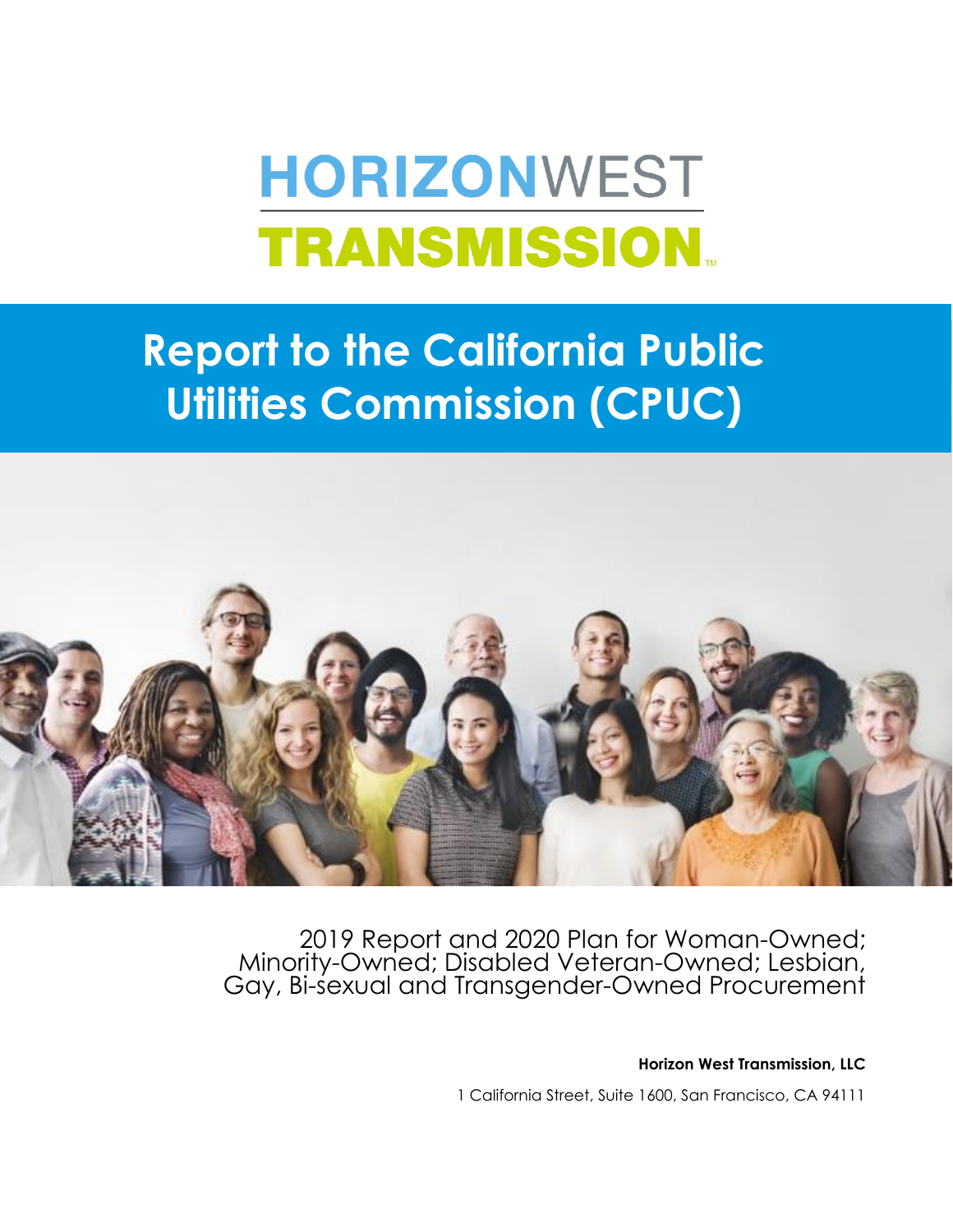# **HORIZONWEST TRANSMISSION.**

## **Report to the California Public Utilities Commission (CPUC)**



2019 Report and 2020 Plan for Woman-Owned; Minority-Owned; Disabled Veteran-Owned; Lesbian, Gay, Bi-sexual and Transgender-Owned Procurement

**Horizon West Transmission, LLC**

1 California Street, Suite 1600, San Francisco, CA 94111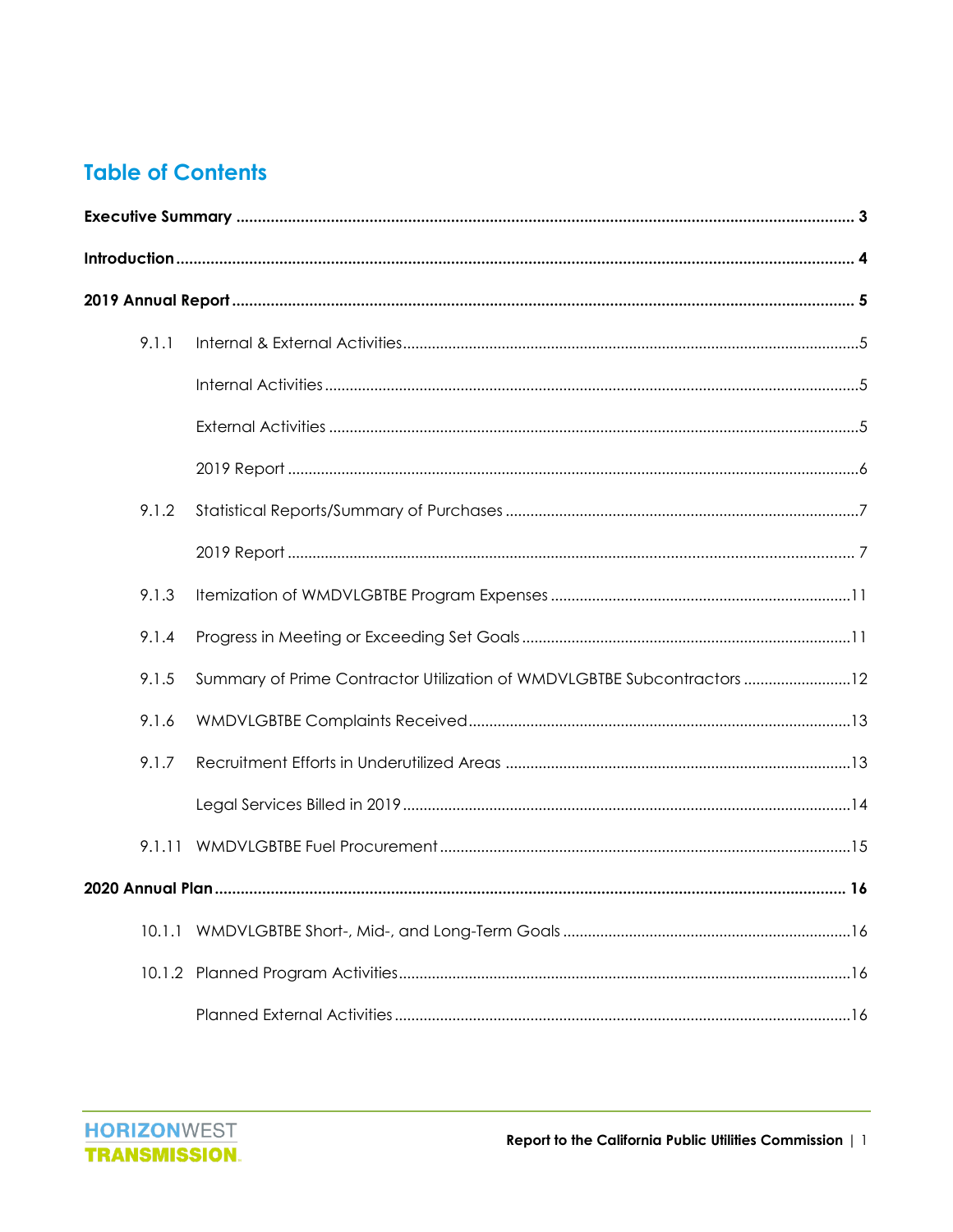#### **Table of Contents**

| 9.1.1  |                                                                         |  |
|--------|-------------------------------------------------------------------------|--|
|        |                                                                         |  |
|        |                                                                         |  |
|        |                                                                         |  |
| 9.1.2  |                                                                         |  |
|        |                                                                         |  |
| 9.1.3  |                                                                         |  |
| 9.1.4  |                                                                         |  |
| 9.1.5  | Summary of Prime Contractor Utilization of WMDVLGBTBE Subcontractors 12 |  |
| 9.1.6  |                                                                         |  |
| 9.1.7  |                                                                         |  |
|        |                                                                         |  |
|        |                                                                         |  |
|        |                                                                         |  |
| 10.1.1 |                                                                         |  |
|        |                                                                         |  |
|        |                                                                         |  |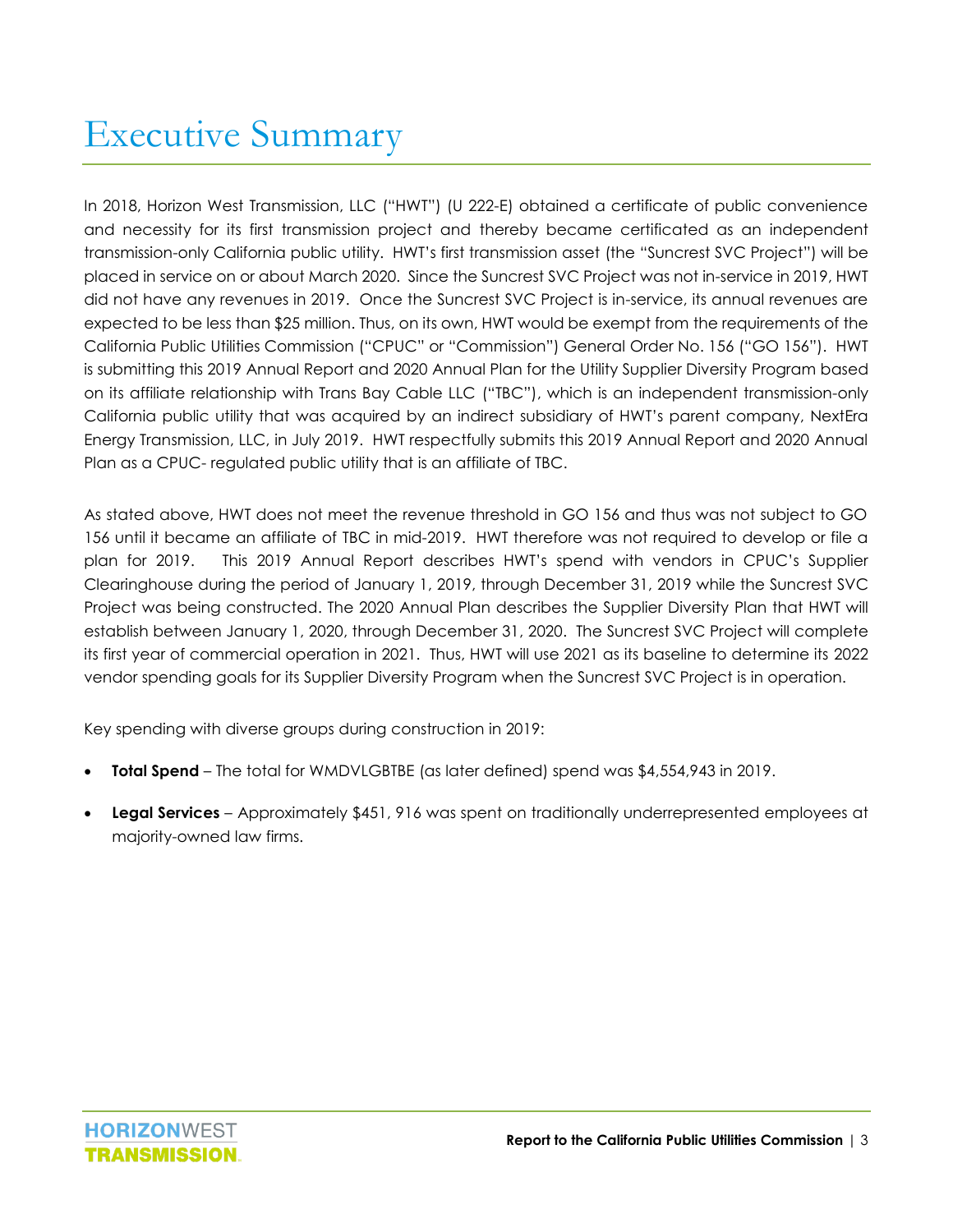### <span id="page-3-0"></span>Executive Summary

In 2018, Horizon West Transmission, LLC ("HWT") (U 222-E) obtained a certificate of public convenience and necessity for its first transmission project and thereby became certificated as an independent transmission-only California public utility. HWT's first transmission asset (the "Suncrest SVC Project") will be placed in service on or about March 2020. Since the Suncrest SVC Project was not in-service in 2019, HWT did not have any revenues in 2019. Once the Suncrest SVC Project is in-service, its annual revenues are expected to be less than \$25 million. Thus, on its own, HWT would be exempt from the requirements of the California Public Utilities Commission ("CPUC" or "Commission") General Order No. 156 ("GO 156"). HWT is submitting this 2019 Annual Report and 2020 Annual Plan for the Utility Supplier Diversity Program based on its affiliate relationship with Trans Bay Cable LLC ("TBC"), which is an independent transmission-only California public utility that was acquired by an indirect subsidiary of HWT's parent company, NextEra Energy Transmission, LLC, in July 2019. HWT respectfully submits this 2019 Annual Report and 2020 Annual Plan as a CPUC- regulated public utility that is an affiliate of TBC.

As stated above, HWT does not meet the revenue threshold in GO 156 and thus was not subject to GO 156 until it became an affiliate of TBC in mid-2019. HWT therefore was not required to develop or file a plan for 2019. This 2019 Annual Report describes HWT's spend with vendors in CPUC's Supplier Clearinghouse during the period of January 1, 2019, through December 31, 2019 while the Suncrest SVC Project was being constructed. The 2020 Annual Plan describes the Supplier Diversity Plan that HWT will establish between January 1, 2020, through December 31, 2020. The Suncrest SVC Project will complete its first year of commercial operation in 2021. Thus, HWT will use 2021 as its baseline to determine its 2022 vendor spending goals for its Supplier Diversity Program when the Suncrest SVC Project is in operation.

Key spending with diverse groups during construction in 2019:

- **Total Spend** The total for WMDVLGBTBE (as later defined) spend was \$4,554,943 in 2019.
- **Legal Services**  Approximately \$451, 916 was spent on traditionally underrepresented employees at majority-owned law firms.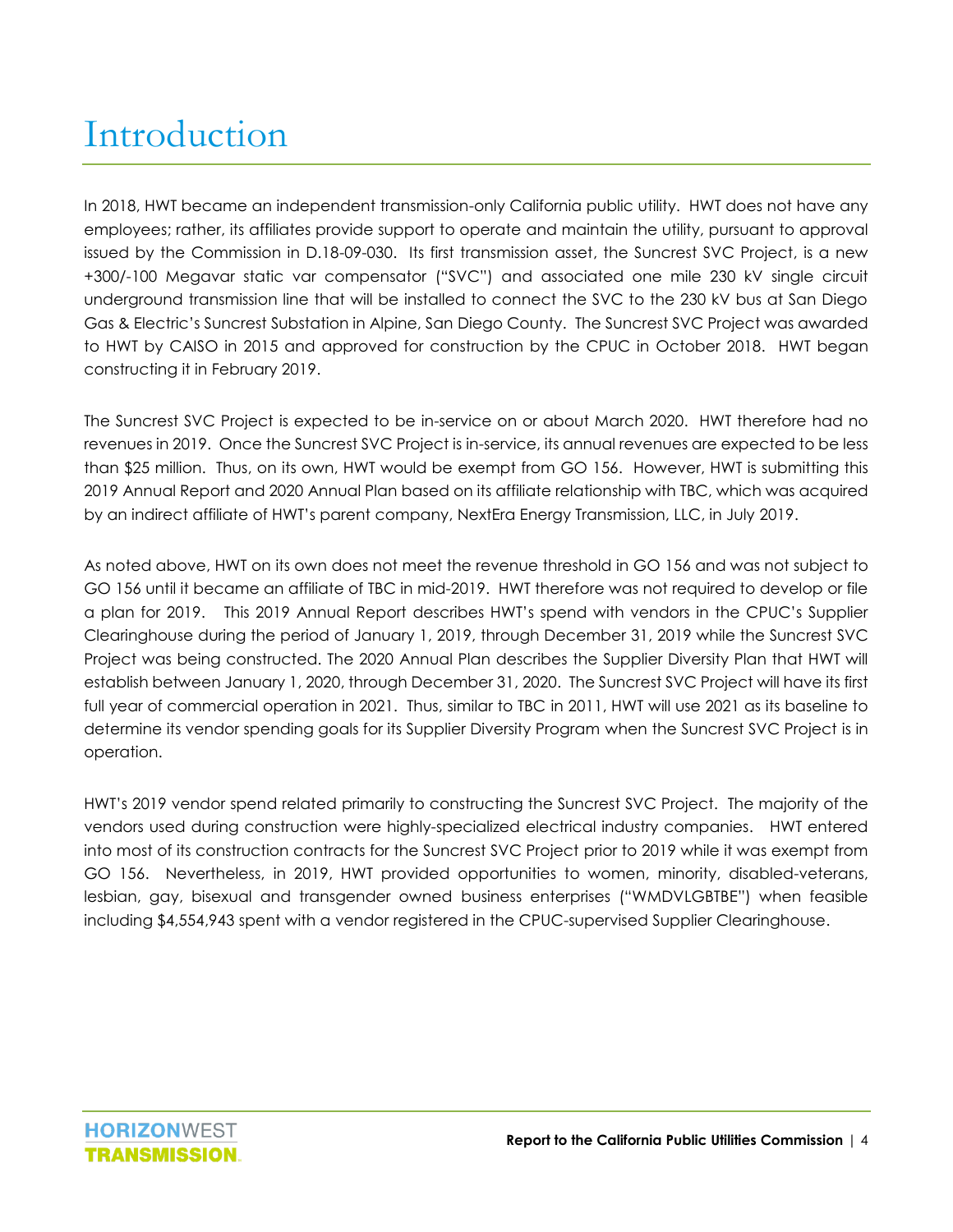## <span id="page-4-0"></span>Introduction

In 2018, HWT became an independent transmission-only California public utility. HWT does not have any employees; rather, its affiliates provide support to operate and maintain the utility, pursuant to approval issued by the Commission in D.18-09-030. Its first transmission asset, the Suncrest SVC Project, is a new +300/-100 Megavar static var compensator ("SVC") and associated one mile 230 kV single circuit underground transmission line that will be installed to connect the SVC to the 230 kV bus at San Diego Gas & Electric's Suncrest Substation in Alpine, San Diego County. The Suncrest SVC Project was awarded to HWT by CAISO in 2015 and approved for construction by the CPUC in October 2018. HWT began constructing it in February 2019.

The Suncrest SVC Project is expected to be in-service on or about March 2020. HWT therefore had no revenues in 2019. Once the Suncrest SVC Project is in-service, its annual revenues are expected to be less than \$25 million. Thus, on its own, HWT would be exempt from GO 156. However, HWT is submitting this 2019 Annual Report and 2020 Annual Plan based on its affiliate relationship with TBC, which was acquired by an indirect affiliate of HWT's parent company, NextEra Energy Transmission, LLC, in July 2019.

As noted above, HWT on its own does not meet the revenue threshold in GO 156 and was not subject to GO 156 until it became an affiliate of TBC in mid-2019. HWT therefore was not required to develop or file a plan for 2019. This 2019 Annual Report describes HWT's spend with vendors in the CPUC's Supplier Clearinghouse during the period of January 1, 2019, through December 31, 2019 while the Suncrest SVC Project was being constructed. The 2020 Annual Plan describes the Supplier Diversity Plan that HWT will establish between January 1, 2020, through December 31, 2020. The Suncrest SVC Project will have its first full year of commercial operation in 2021. Thus, similar to TBC in 2011, HWT will use 2021 as its baseline to determine its vendor spending goals for its Supplier Diversity Program when the Suncrest SVC Project is in operation.

HWT's 2019 vendor spend related primarily to constructing the Suncrest SVC Project. The majority of the vendors used during construction were highly-specialized electrical industry companies. HWT entered into most of its construction contracts for the Suncrest SVC Project prior to 2019 while it was exempt from GO 156. Nevertheless, in 2019, HWT provided opportunities to women, minority, disabled-veterans, lesbian, gay, bisexual and transgender owned business enterprises ("WMDVLGBTBE") when feasible including \$4,554,943 spent with a vendor registered in the CPUC-supervised Supplier Clearinghouse.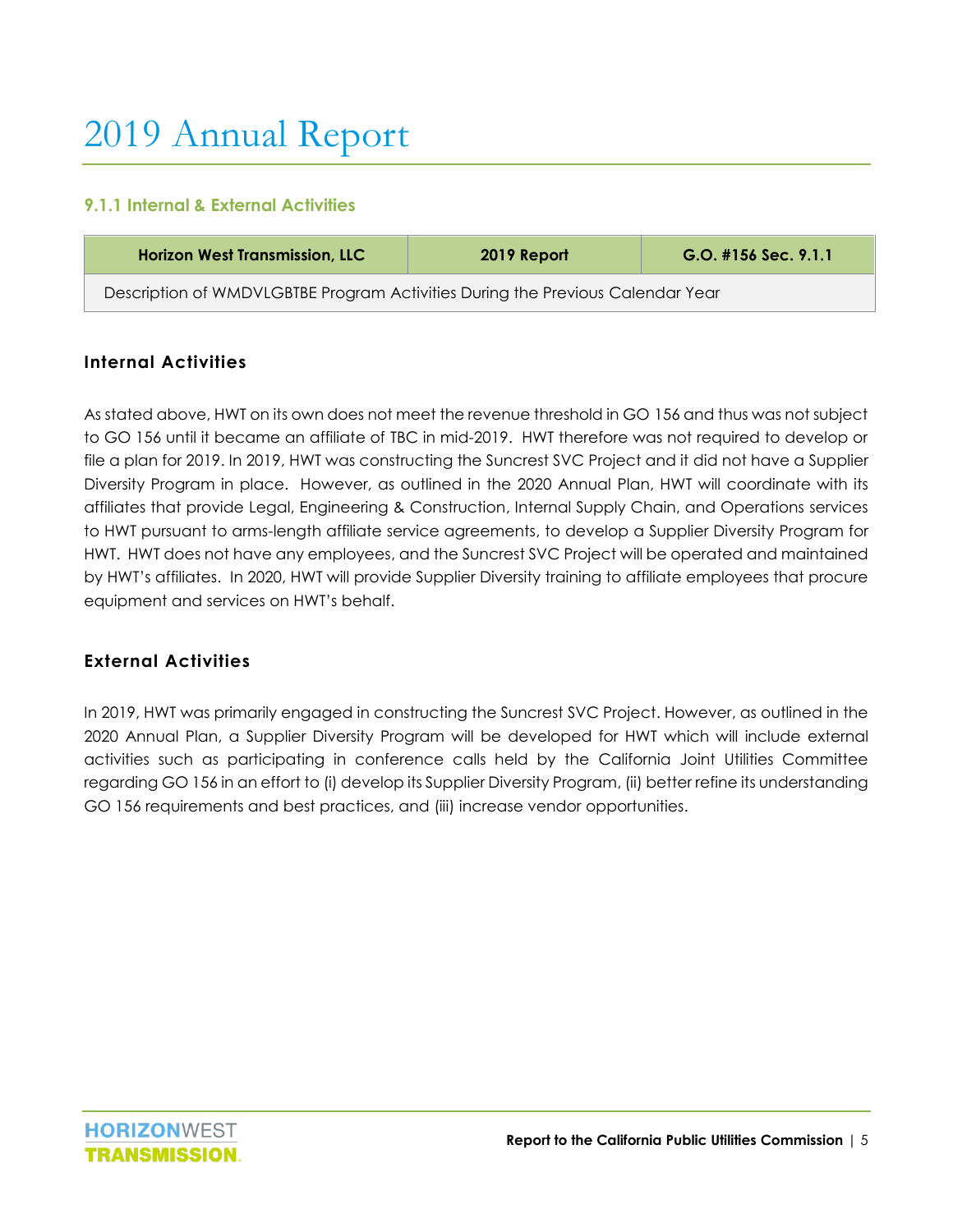## <span id="page-5-0"></span>2019 Annual Report

#### <span id="page-5-1"></span>**9.1.1 Internal & External Activities**

| <b>Horizon West Transmission, LLC</b>                                          | 2019 Report | $G.O.$ #156 Sec. 9.1.1 |  |  |  |  |
|--------------------------------------------------------------------------------|-------------|------------------------|--|--|--|--|
| Description of WMDVLGBTBE Program Activities During the Previous Calendar Year |             |                        |  |  |  |  |

#### <span id="page-5-2"></span>**Internal Activities**

As stated above, HWT on its own does not meet the revenue threshold in GO 156 and thus was not subject to GO 156 until it became an affiliate of TBC in mid-2019. HWT therefore was not required to develop or file a plan for 2019. In 2019, HWT was constructing the Suncrest SVC Project and it did not have a Supplier Diversity Program in place. However, as outlined in the 2020 Annual Plan, HWT will coordinate with its affiliates that provide Legal, Engineering & Construction, Internal Supply Chain, and Operations services to HWT pursuant to arms-length affiliate service agreements, to develop a Supplier Diversity Program for HWT. HWT does not have any employees, and the Suncrest SVC Project will be operated and maintained by HWT's affiliates. In 2020, HWT will provide Supplier Diversity training to affiliate employees that procure equipment and services on HWT's behalf.

#### <span id="page-5-3"></span>**External Activities**

In 2019, HWT was primarily engaged in constructing the Suncrest SVC Project. However, as outlined in the 2020 Annual Plan, a Supplier Diversity Program will be developed for HWT which will include external activities such as participating in conference calls held by the California Joint Utilities Committee regarding GO 156 in an effort to (i) develop its Supplier Diversity Program, (ii) better refine its understanding GO 156 requirements and best practices, and (iii) increase vendor opportunities.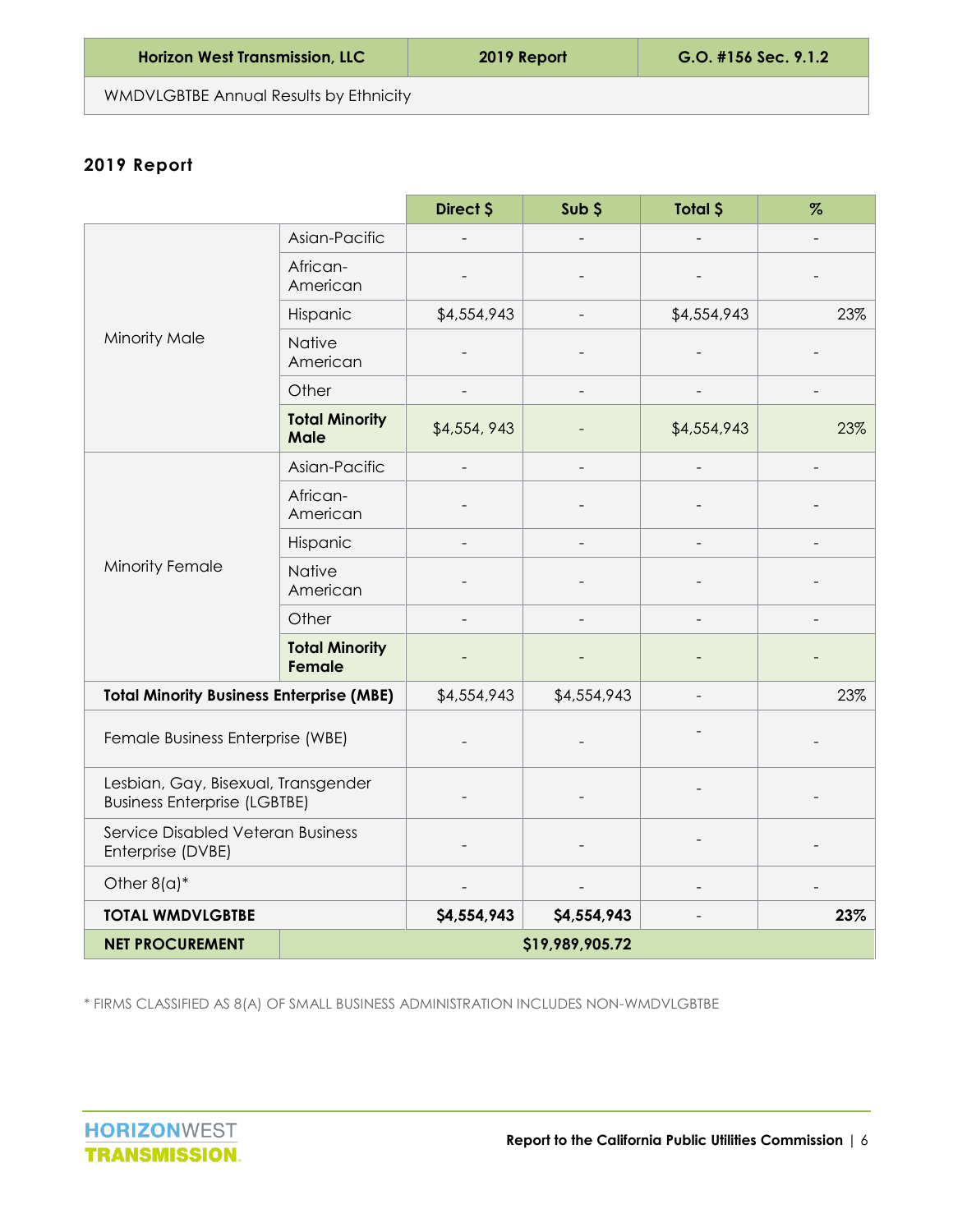<span id="page-6-0"></span>WMDVLGBTBE Annual Results by Ethnicity

#### **2019 Report**

|                                                                            |                                      | Direct \$   | Sub \$          | Total \$    | $\%$ |
|----------------------------------------------------------------------------|--------------------------------------|-------------|-----------------|-------------|------|
|                                                                            | Asian-Pacific                        |             |                 |             |      |
|                                                                            | African-<br>American                 |             |                 |             |      |
|                                                                            | Hispanic                             | \$4,554,943 |                 | \$4,554,943 | 23%  |
| Minority Male                                                              | <b>Native</b><br>American            |             |                 |             |      |
|                                                                            | Other                                |             |                 |             |      |
|                                                                            | <b>Total Minority</b><br><b>Male</b> | \$4,554,943 |                 | \$4,554,943 | 23%  |
|                                                                            | Asian-Pacific                        |             |                 |             |      |
|                                                                            | African-<br>American                 |             |                 |             |      |
|                                                                            | Hispanic                             |             |                 |             |      |
| Minority Female                                                            | Native<br>American                   |             |                 |             |      |
|                                                                            | Other                                |             |                 |             |      |
|                                                                            | <b>Total Minority</b><br>Female      |             |                 |             |      |
| <b>Total Minority Business Enterprise (MBE)</b>                            |                                      | \$4,554,943 | \$4,554,943     |             | 23%  |
| Female Business Enterprise (WBE)                                           |                                      |             |                 |             |      |
| Lesbian, Gay, Bisexual, Transgender<br><b>Business Enterprise (LGBTBE)</b> |                                      |             |                 |             |      |
| Service Disabled Veteran Business<br>Enterprise (DVBE)                     |                                      |             |                 |             |      |
| Other $8(a)^*$                                                             |                                      |             |                 |             |      |
| <b>TOTAL WMDVLGBTBE</b>                                                    |                                      | \$4,554,943 | \$4,554,943     |             | 23%  |
| <b>NET PROCUREMENT</b>                                                     |                                      |             | \$19,989,905.72 |             |      |

<span id="page-6-1"></span>\* FIRMS CLASSIFIED AS 8(A) OF SMALL BUSINESS ADMINISTRATION INCLUDES NON-WMDVLGBTBE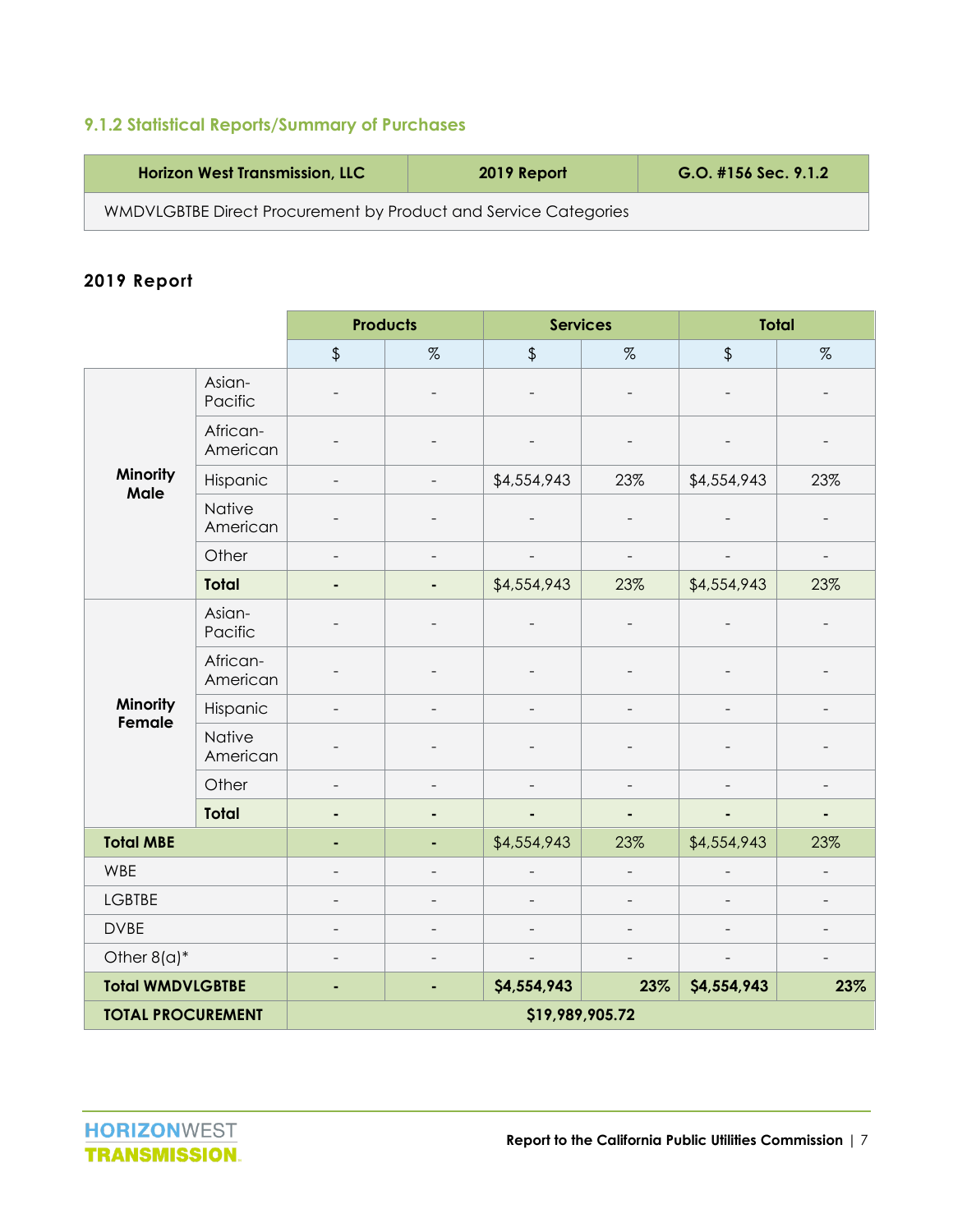#### **9.1.2 Statistical Reports/Summary of Purchases**

| <b>Horizon West Transmission, LLC</b>                           | 2019 Report | [G.O.  #156 Sec. 9.1.2] |
|-----------------------------------------------------------------|-------------|-------------------------|
| WMDVLGBTBE Direct Procurement by Product and Service Categories |             |                         |

#### **2019 Report**

|                          |                           | <b>Products</b> |                          | <b>Services</b>          |                          | <b>Total</b>  |                |  |
|--------------------------|---------------------------|-----------------|--------------------------|--------------------------|--------------------------|---------------|----------------|--|
|                          |                           | $\frac{1}{2}$   | $\%$                     | $\frac{1}{2}$            | $\%$                     | $\frac{1}{2}$ | $\%$           |  |
|                          | Asian-<br>Pacific         |                 |                          | $\overline{\phantom{a}}$ | $\overline{\phantom{0}}$ |               |                |  |
|                          | African-<br>American      |                 |                          |                          |                          |               |                |  |
| Minority<br>Male         | Hispanic                  |                 | $\overline{\phantom{0}}$ | \$4,554,943              | 23%                      | \$4,554,943   | 23%            |  |
|                          | <b>Native</b><br>American |                 |                          |                          |                          |               |                |  |
|                          | Other                     |                 | $\overline{\phantom{0}}$ | $\overline{\phantom{a}}$ | $\qquad \qquad -$        |               | $\overline{a}$ |  |
|                          | <b>Total</b>              |                 | ٠                        | \$4,554,943              | 23%                      | \$4,554,943   | 23%            |  |
|                          | Asian-<br>Pacific         |                 |                          |                          |                          |               |                |  |
|                          | African-<br>American      |                 |                          |                          |                          |               |                |  |
| Minority<br>Female       | Hispanic                  |                 |                          |                          |                          |               |                |  |
|                          | Native<br>American        |                 |                          |                          |                          |               |                |  |
|                          | Other                     |                 |                          |                          |                          |               |                |  |
|                          | <b>Total</b>              |                 | ٠                        | ٠                        | ۰                        |               | $\blacksquare$ |  |
| <b>Total MBE</b>         |                           |                 | ٠                        | \$4,554,943              | 23%                      | \$4,554,943   | 23%            |  |
| WBE                      |                           |                 | $\overline{\phantom{0}}$ |                          | $\overline{a}$           |               |                |  |
| <b>LGBTBE</b>            |                           |                 | $\overline{\phantom{0}}$ |                          |                          |               |                |  |
| <b>DVBE</b>              |                           |                 |                          |                          |                          |               |                |  |
| Other $8(a)^*$           |                           |                 | $\overline{\phantom{0}}$ | $\overline{\phantom{a}}$ |                          |               |                |  |
| <b>Total WMDVLGBTBE</b>  |                           | ٠               | ۰                        | \$4,554,943              | 23%                      | \$4,554,943   | 23%            |  |
| <b>TOTAL PROCUREMENT</b> |                           | \$19,989,905.72 |                          |                          |                          |               |                |  |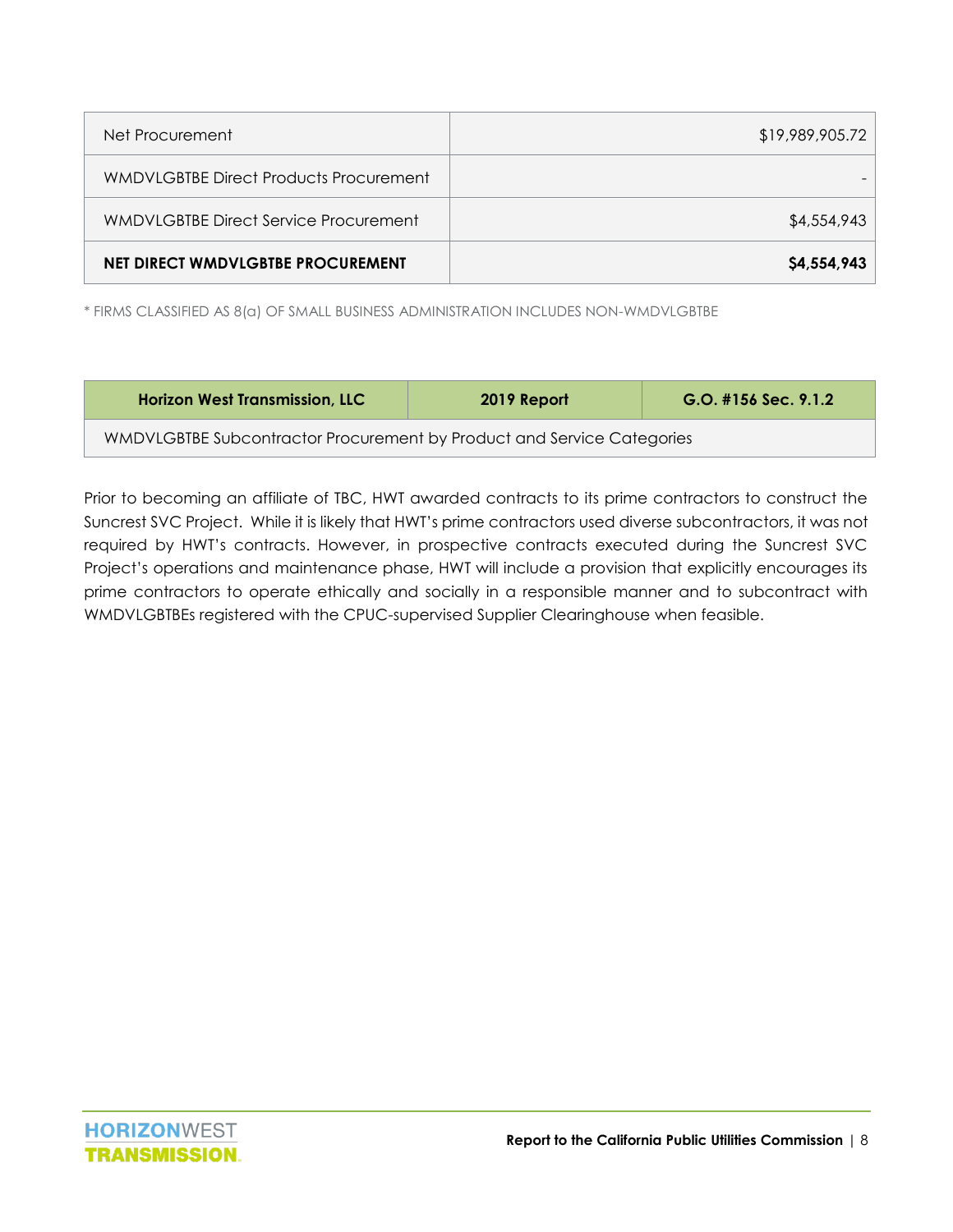| Net Procurement                               | \$19,989,905.72 |
|-----------------------------------------------|-----------------|
| <b>WMDVLGBTBE Direct Products Procurement</b> |                 |
| WMDVLGBTBE Direct Service Procurement         | \$4,554,943     |
| NET DIRECT WMDVLGBTBE PROCUREMENT             | \$4,554,943     |

\* FIRMS CLASSIFIED AS 8(a) OF SMALL BUSINESS ADMINISTRATION INCLUDES NON-WMDVLGBTBE

| <b>Horizon West Transmission, LLC</b>                                  | 2019 Report | $G.O.$ #156 Sec. 9.1.2 |  |  |  |
|------------------------------------------------------------------------|-------------|------------------------|--|--|--|
| WMDVLGBTBE Subcontractor Procurement by Product and Service Categories |             |                        |  |  |  |

Prior to becoming an affiliate of TBC, HWT awarded contracts to its prime contractors to construct the Suncrest SVC Project. While it is likely that HWT's prime contractors used diverse subcontractors, it was not required by HWT's contracts. However, in prospective contracts executed during the Suncrest SVC Project's operations and maintenance phase, HWT will include a provision that explicitly encourages its prime contractors to operate ethically and socially in a responsible manner and to subcontract with WMDVLGBTBEs registered with the CPUC-supervised Supplier Clearinghouse when feasible.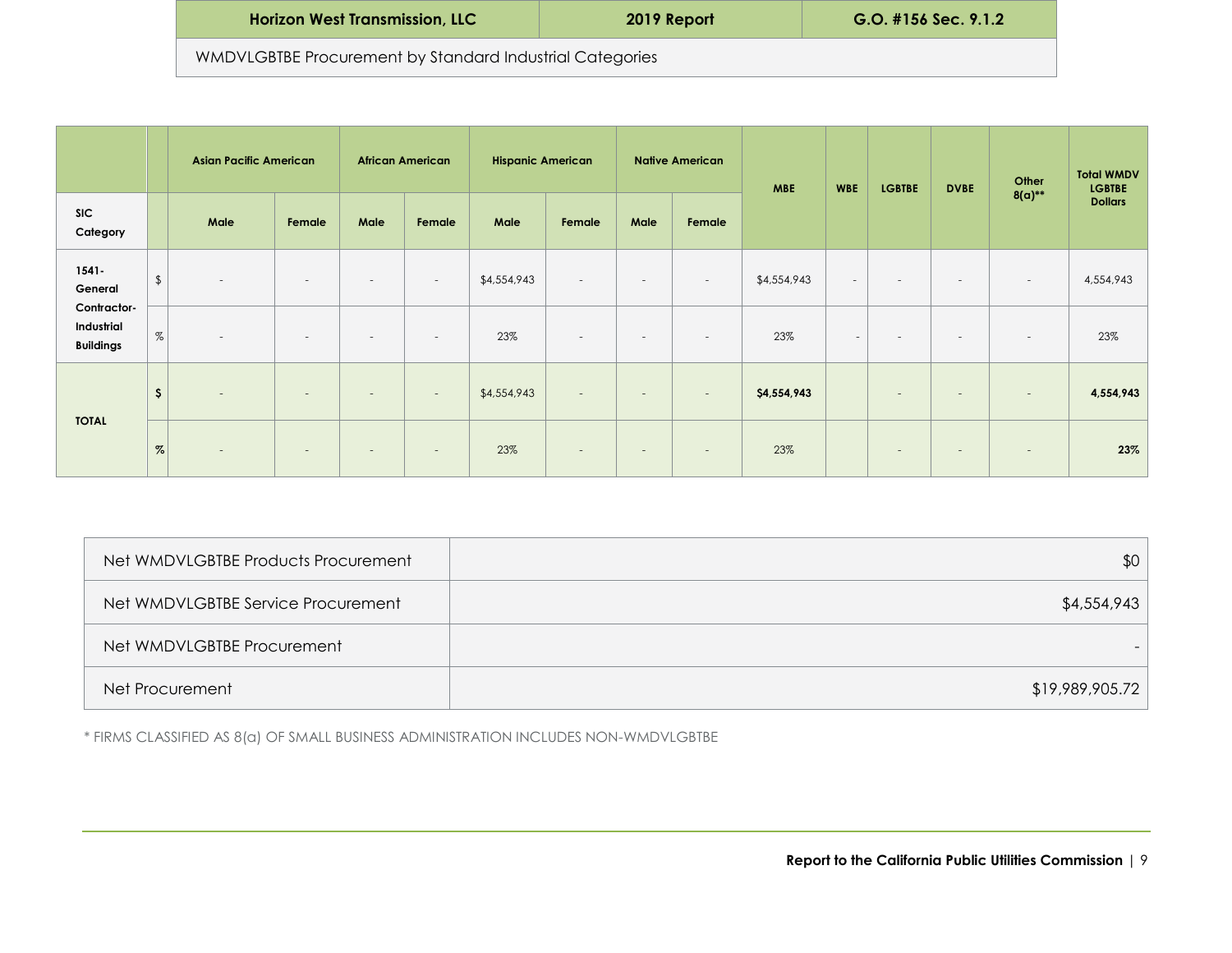| <b>Horizon West Transmission, LLC</b>                    | 2019 Report | $G.O.$ #156 Sec. 9.1.2 |  |  |  |  |
|----------------------------------------------------------|-------------|------------------------|--|--|--|--|
| WMDVLGBTBE Procurement by Standard Industrial Categories |             |                        |  |  |  |  |

|                                               |                | <b>Asian Pacific American</b> |        |                          | <b>African American</b>  | <b>Hispanic American</b> |                          |                          | <b>Native American</b>   | <b>MBE</b>  | <b>WBE</b> | <b>LGBTBE</b> | <b>DVBE</b>              | Other                    | <b>Total WMDV</b><br><b>LGBTBE</b> |
|-----------------------------------------------|----------------|-------------------------------|--------|--------------------------|--------------------------|--------------------------|--------------------------|--------------------------|--------------------------|-------------|------------|---------------|--------------------------|--------------------------|------------------------------------|
| <b>SIC</b><br>Category                        |                | Male                          | Female | Male                     | Female                   | Male                     | Female                   | Male                     | Female                   |             |            |               |                          | $8(a)$ **                | <b>Dollars</b>                     |
| $1541 -$<br>General                           | $\updownarrow$ | $\overline{\phantom{a}}$      | $\sim$ | $\overline{\phantom{a}}$ | $\sim$                   | \$4,554,943              | $\sim$                   | $\sim$                   | $\sim$                   | \$4,554,943 | $\sim$     | $\sim$        | $\sim$                   | $\sim$                   | 4,554,943                          |
| Contractor-<br>Industrial<br><b>Buildings</b> | $\%$           | $\overline{\phantom{a}}$      | $\sim$ | $\overline{\phantom{a}}$ | $\overline{\phantom{a}}$ | 23%                      | $\overline{\phantom{a}}$ | $\overline{\phantom{a}}$ | $\overline{\phantom{a}}$ | 23%         | $\sim$     | $\sim$        | $\overline{\phantom{a}}$ | $\overline{\phantom{a}}$ | 23%                                |
| <b>TOTAL</b>                                  | \$             | $\sim$                        | $\sim$ | $\overline{\phantom{a}}$ | $\sim$                   | \$4,554,943              | $\sim$                   | $\sim$                   | $\sim$                   | \$4,554,943 |            | $\sim$        | $\sim$                   | $\overline{\phantom{a}}$ | 4,554,943                          |
|                                               | $\%$           | $\sim$                        | $\sim$ | $\qquad \qquad$          | $\overline{\phantom{a}}$ | 23%                      | $\sim$                   | $\overline{\phantom{a}}$ | $\overline{\phantom{a}}$ | 23%         |            | $\sim$        | $\overline{\phantom{a}}$ | $\overline{\phantom{a}}$ | 23%                                |

| Net WMDVLGBTBE Products Procurement | \$0             |
|-------------------------------------|-----------------|
| Net WMDVLGBTBE Service Procurement  | \$4,554,943     |
| Net WMDVLGBTBE Procurement          |                 |
| Net Procurement                     | \$19,989,905.72 |

\* FIRMS CLASSIFIED AS 8(a) OF SMALL BUSINESS ADMINISTRATION INCLUDES NON-WMDVLGBTBE

**Report to the California Public Utilities Commission** | 9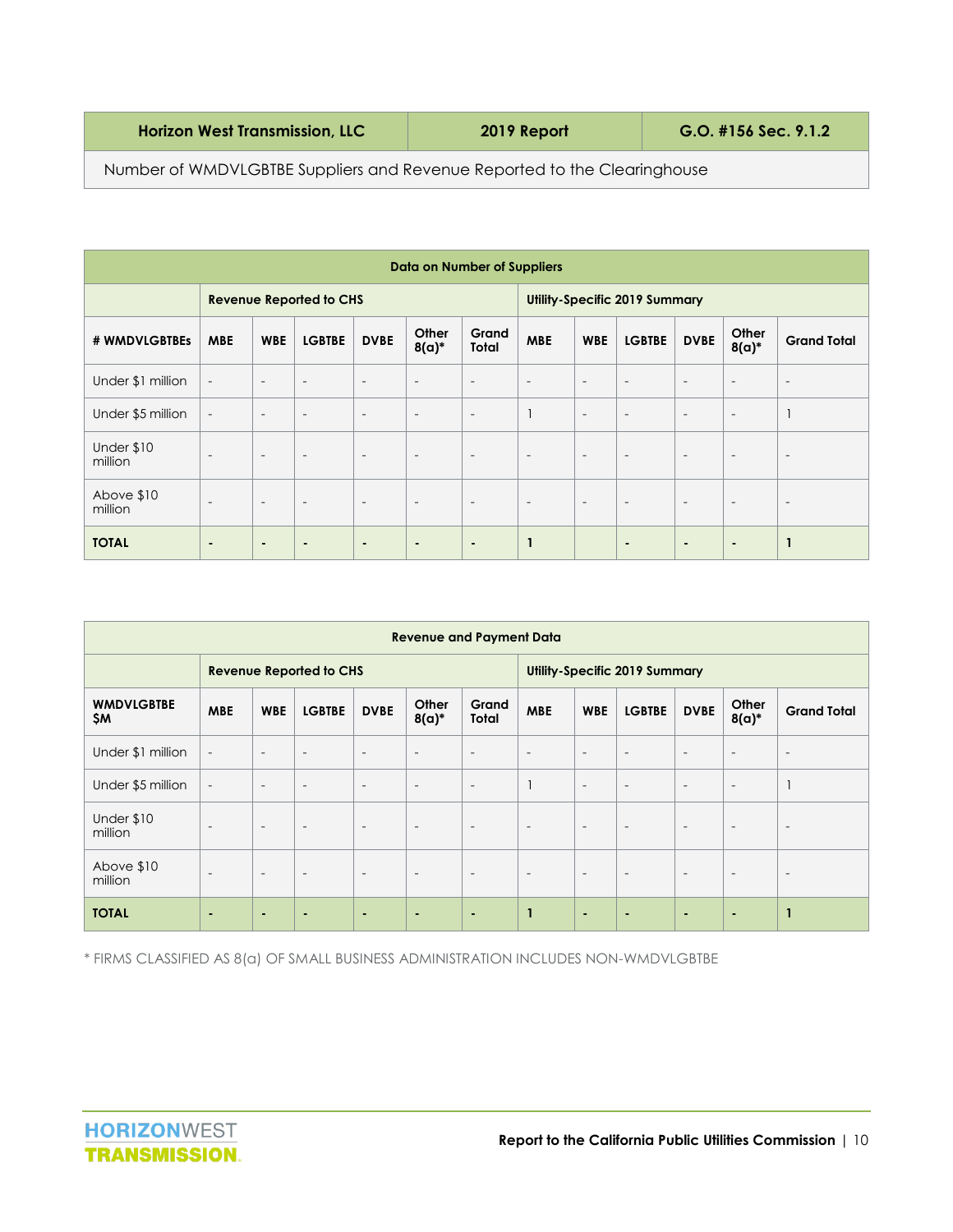| <b>Horizon West Transmission, LLC</b> | 2019 Report | G.O. #156 Sec. 9.1.2 |
|---------------------------------------|-------------|----------------------|
|---------------------------------------|-------------|----------------------|

Number of WMDVLGBTBE Suppliers and Revenue Reported to the Clearinghouse

| Data on Number of Suppliers    |                          |                          |                          |                                      |                          |                |                          |                          |                          |                          |                          |                          |
|--------------------------------|--------------------------|--------------------------|--------------------------|--------------------------------------|--------------------------|----------------|--------------------------|--------------------------|--------------------------|--------------------------|--------------------------|--------------------------|
| <b>Revenue Reported to CHS</b> |                          |                          |                          | <b>Utility-Specific 2019 Summary</b> |                          |                |                          |                          |                          |                          |                          |                          |
| # WMDVLGBTBEs                  | <b>MBE</b>               | <b>WBE</b>               | <b>LGBTBE</b>            | <b>DVBE</b>                          | Other<br>$8(a)*$         | Grand<br>Total | <b>MBE</b>               | <b>WBE</b>               | <b>LGBTBE</b>            | <b>DVBE</b>              | Other<br>$8(a)*$         | <b>Grand Total</b>       |
| Under \$1 million              | $\overline{\phantom{a}}$ | $\overline{\phantom{a}}$ | $\overline{\phantom{a}}$ | $\overline{\phantom{a}}$             | $\overline{\phantom{a}}$ | $\sim$         | $\overline{\phantom{a}}$ | $\overline{\phantom{a}}$ | $\overline{\phantom{a}}$ | $\overline{\phantom{a}}$ | $\overline{\phantom{a}}$ | $\overline{\phantom{a}}$ |
| Under \$5 million              | $\overline{\phantom{a}}$ | $\overline{\phantom{a}}$ | $\sim$                   | $\overline{\phantom{a}}$             | $\overline{\phantom{a}}$ | $\sim$         |                          | $\sim$                   | $\sim$                   | $\sim$                   | $\overline{\phantom{a}}$ |                          |
| Under \$10<br>million          | $\overline{\phantom{a}}$ | $\overline{\phantom{a}}$ | $\overline{\phantom{a}}$ | $\overline{\phantom{a}}$             | $\overline{\phantom{a}}$ | $\sim$         | $\overline{\phantom{a}}$ | $\overline{\phantom{a}}$ | $\overline{\phantom{a}}$ | $\sim$                   | $\overline{\phantom{a}}$ | $\overline{\phantom{a}}$ |
| Above \$10<br>million          | $\overline{\phantom{a}}$ | $\overline{\phantom{a}}$ | $\overline{\phantom{a}}$ | $\overline{\phantom{a}}$             | $\overline{\phantom{a}}$ | $\sim$         | $\overline{\phantom{a}}$ | $\overline{\phantom{a}}$ | $\overline{\phantom{a}}$ | $\overline{\phantom{a}}$ | $\overline{\phantom{a}}$ | $\overline{\phantom{a}}$ |
| <b>TOTAL</b>                   | $\blacksquare$           | ۰                        | $\blacksquare$           | $\blacksquare$                       | $\blacksquare$           | $\blacksquare$ | $\mathbf{1}$             |                          | $\blacksquare$           | $\blacksquare$           | $\blacksquare$           |                          |

| <b>Revenue and Payment Data</b> |                          |                          |                          |                                      |                          |                          |                          |                          |                          |                          |                          |                          |
|---------------------------------|--------------------------|--------------------------|--------------------------|--------------------------------------|--------------------------|--------------------------|--------------------------|--------------------------|--------------------------|--------------------------|--------------------------|--------------------------|
| <b>Revenue Reported to CHS</b>  |                          |                          |                          | <b>Utility-Specific 2019 Summary</b> |                          |                          |                          |                          |                          |                          |                          |                          |
| <b>WMDVLGBTBE</b><br><b>SM</b>  | <b>MBE</b>               | <b>WBE</b>               | <b>LGBTBE</b>            | <b>DVBE</b>                          | Other<br>$8(a)*$         | Grand<br>Total           | <b>MBE</b>               | <b>WBE</b>               | <b>LGBTBE</b>            | <b>DVBE</b>              | Other<br>$8(a)*$         | <b>Grand Total</b>       |
| Under \$1 million               | $\overline{\phantom{a}}$ | $\overline{\phantom{a}}$ | $\overline{\phantom{a}}$ | $\overline{\phantom{a}}$             | $\overline{\phantom{a}}$ | $\sim$                   | $\overline{\phantom{a}}$ | $\overline{\phantom{a}}$ | $\overline{\phantom{a}}$ | $\overline{\phantom{a}}$ | $\overline{\phantom{a}}$ | $\overline{\phantom{a}}$ |
| Under \$5 million               | $\overline{\phantom{a}}$ | $\overline{\phantom{a}}$ | $\overline{\phantom{a}}$ | $\overline{\phantom{a}}$             | $\overline{\phantom{a}}$ | $\sim$                   |                          | $\overline{\phantom{a}}$ | $\overline{\phantom{a}}$ | $\overline{\phantom{a}}$ | $\overline{\phantom{a}}$ |                          |
| Under \$10<br>million           | $\overline{\phantom{a}}$ | $\overline{\phantom{a}}$ | $\overline{\phantom{a}}$ | $\overline{\phantom{a}}$             | $\overline{\phantom{a}}$ | $\overline{\phantom{a}}$ | $\overline{\phantom{a}}$ | $\overline{\phantom{a}}$ | $\overline{\phantom{a}}$ | $\overline{\phantom{a}}$ | $\overline{\phantom{a}}$ | $\overline{\phantom{a}}$ |
| Above \$10<br>million           | $\overline{\phantom{a}}$ | $\overline{\phantom{a}}$ | $\overline{\phantom{a}}$ | $\overline{\phantom{a}}$             | $\overline{\phantom{a}}$ | $\sim$                   | $\overline{\phantom{a}}$ | $\overline{\phantom{a}}$ | $\overline{\phantom{a}}$ | $\overline{\phantom{a}}$ | $\overline{\phantom{a}}$ | $\sim$                   |
| <b>TOTAL</b>                    | $\blacksquare$           | $\blacksquare$           | $\blacksquare$           | $\sim$                               | $\sim$                   | ٠                        | $\mathbf{1}$             | $\sim$                   | $\sim$                   | $\blacksquare$           | ٠                        | 1                        |

\* FIRMS CLASSIFIED AS 8(a) OF SMALL BUSINESS ADMINISTRATION INCLUDES NON-WMDVLGBTBE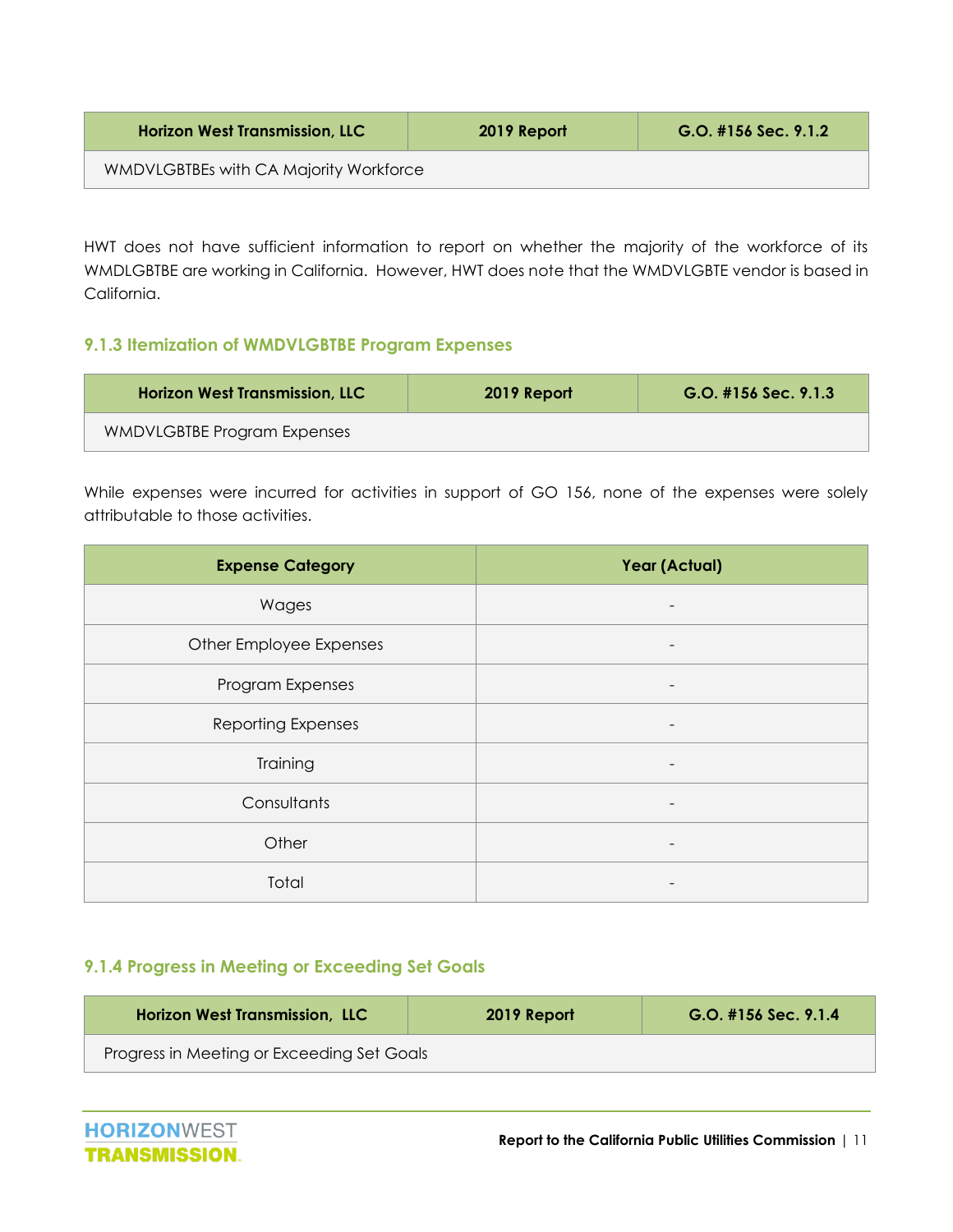| <b>Horizon West Transmission, LLC</b>  | 2019 Report | $G.O.$ #156 Sec. 9.1.2 |
|----------------------------------------|-------------|------------------------|
| WMDVLGBTBEs with CA Majority Workforce |             |                        |

HWT does not have sufficient information to report on whether the majority of the workforce of its WMDLGBTBE are working in California. However, HWT does note that the WMDVLGBTE vendor is based in California.

#### <span id="page-11-0"></span>**9.1.3 Itemization of WMDVLGBTBE Program Expenses**

| <b>Horizon West Transmission, LLC</b> | 2019 Report | $G.O.$ #156 Sec. 9.1.3 |
|---------------------------------------|-------------|------------------------|
| WMDVLGBTBE Program Expenses           |             |                        |

While expenses were incurred for activities in support of GO 156, none of the expenses were solely attributable to those activities.

| <b>Expense Category</b>   | Year (Actual) |
|---------------------------|---------------|
| Wages                     |               |
| Other Employee Expenses   |               |
| Program Expenses          | -             |
| <b>Reporting Expenses</b> | -             |
| Training                  | -             |
| Consultants               |               |
| Other                     |               |
| Total                     |               |

#### <span id="page-11-1"></span>**9.1.4 Progress in Meeting or Exceeding Set Goals**

| <b>Horizon West Transmission, LLC</b>      | 2019 Report | $G.O.$ #156 Sec. 9.1.4 |
|--------------------------------------------|-------------|------------------------|
| Progress in Meeting or Exceeding Set Goals |             |                        |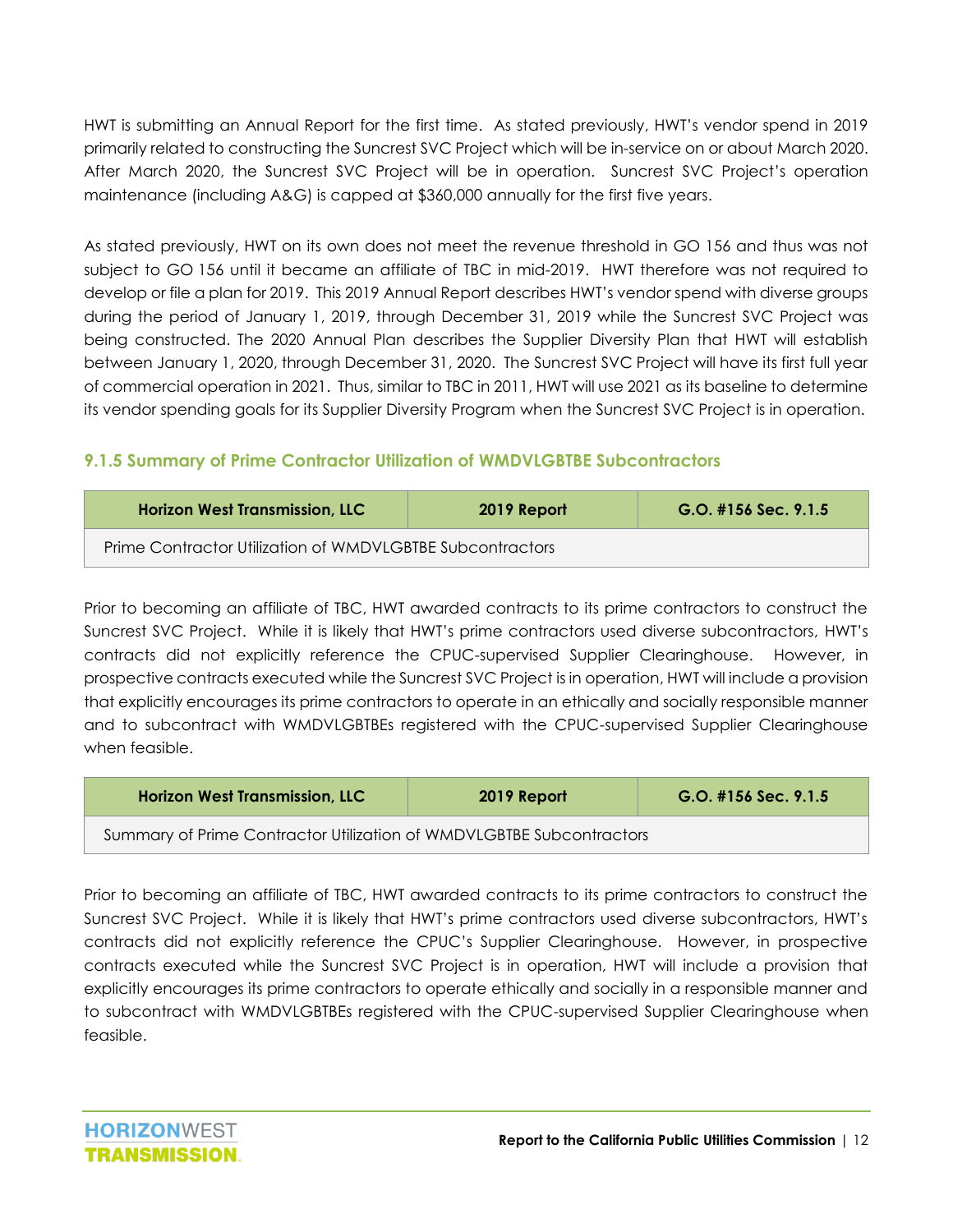HWT is submitting an Annual Report for the first time. As stated previously, HWT's vendor spend in 2019 primarily related to constructing the Suncrest SVC Project which will be in-service on or about March 2020. After March 2020, the Suncrest SVC Project will be in operation. Suncrest SVC Project's operation maintenance (including A&G) is capped at \$360,000 annually for the first five years.

As stated previously, HWT on its own does not meet the revenue threshold in GO 156 and thus was not subject to GO 156 until it became an affiliate of TBC in mid-2019. HWT therefore was not required to develop or file a plan for 2019. This 2019 Annual Report describes HWT's vendor spend with diverse groups during the period of January 1, 2019, through December 31, 2019 while the Suncrest SVC Project was being constructed. The 2020 Annual Plan describes the Supplier Diversity Plan that HWT will establish between January 1, 2020, through December 31, 2020. The Suncrest SVC Project will have its first full year of commercial operation in 2021. Thus, similar to TBC in 2011, HWT will use 2021 as its baseline to determine its vendor spending goals for its Supplier Diversity Program when the Suncrest SVC Project is in operation.

#### <span id="page-12-0"></span>**9.1.5 Summary of Prime Contractor Utilization of WMDVLGBTBE Subcontractors**

| <b>Horizon West Transmission, LLC</b>                     | 2019 Report | $G.O.$ #156 Sec. 9.1.5 |
|-----------------------------------------------------------|-------------|------------------------|
| Prime Contractor Utilization of WMDVLGBTBE Subcontractors |             |                        |

Prior to becoming an affiliate of TBC, HWT awarded contracts to its prime contractors to construct the Suncrest SVC Project. While it is likely that HWT's prime contractors used diverse subcontractors, HWT's contracts did not explicitly reference the CPUC-supervised Supplier Clearinghouse. However, in prospective contracts executed while the Suncrest SVC Project is in operation, HWT will include a provision that explicitly encourages its prime contractors to operate in an ethically and socially responsible manner and to subcontract with WMDVLGBTBEs registered with the CPUC-supervised Supplier Clearinghouse when feasible.

| <b>Horizon West Transmission, LLC</b>                                | 2019 Report | $G.O.$ #156 Sec. 9.1.5 |
|----------------------------------------------------------------------|-------------|------------------------|
| Summary of Prime Contractor Utilization of WMDVLGBTBE Subcontractors |             |                        |

Prior to becoming an affiliate of TBC, HWT awarded contracts to its prime contractors to construct the Suncrest SVC Project. While it is likely that HWT's prime contractors used diverse subcontractors, HWT's contracts did not explicitly reference the CPUC's Supplier Clearinghouse. However, in prospective contracts executed while the Suncrest SVC Project is in operation, HWT will include a provision that explicitly encourages its prime contractors to operate ethically and socially in a responsible manner and to subcontract with WMDVLGBTBEs registered with the CPUC-supervised Supplier Clearinghouse when feasible.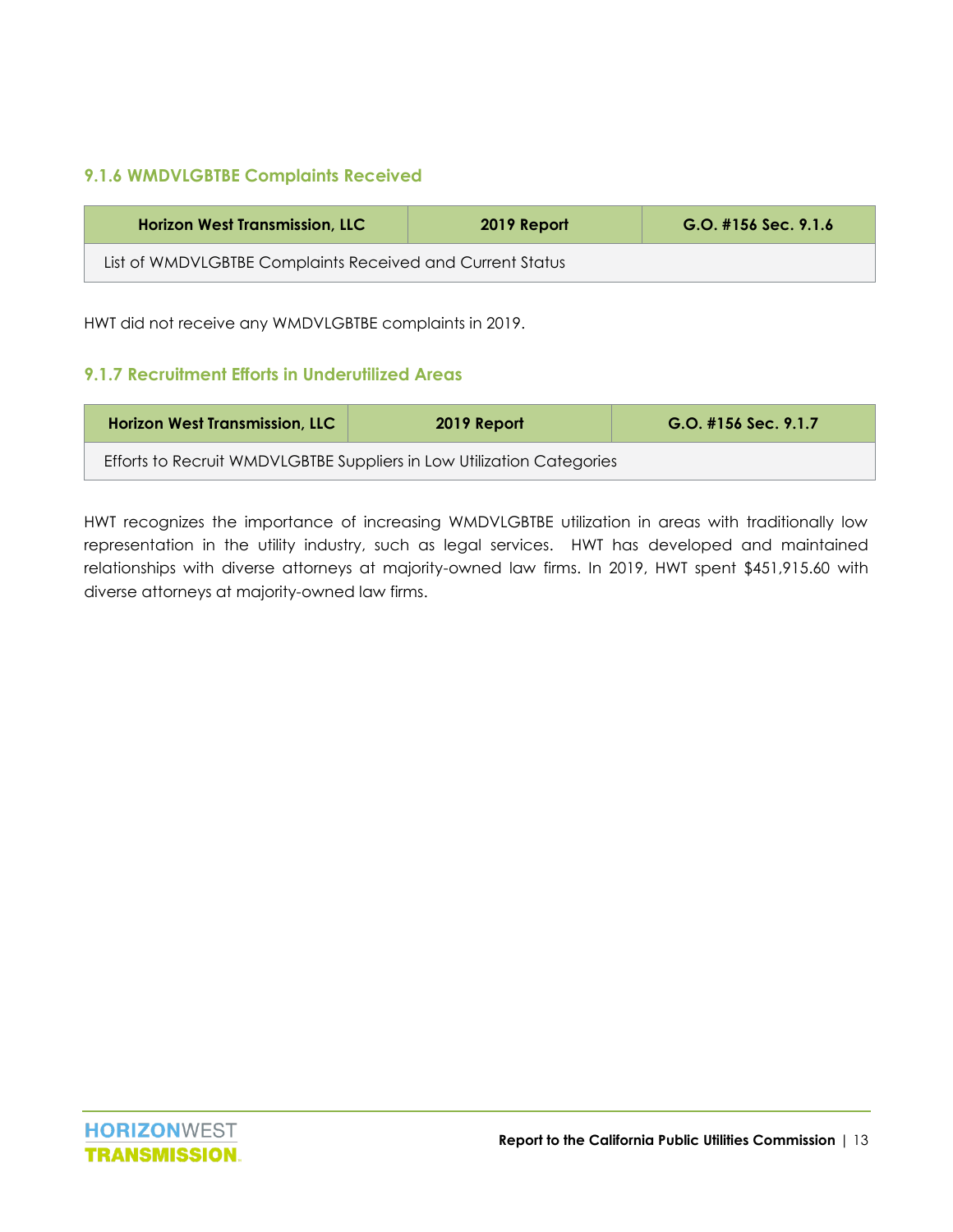#### <span id="page-13-0"></span>**9.1.6 WMDVLGBTBE Complaints Received**

| <b>Horizon West Transmission, LLC</b>                     | 2019 Report | $G.O.$ #156 Sec. 9.1.6 |  |  |  |
|-----------------------------------------------------------|-------------|------------------------|--|--|--|
| List of WMDVLGBTBE Complaints Received and Current Status |             |                        |  |  |  |

HWT did not receive any WMDVLGBTBE complaints in 2019.

#### <span id="page-13-1"></span>**9.1.7 Recruitment Efforts in Underutilized Areas**

| <b>Horizon West Transmission, LLC</b>                                 | 2019 Report | $G.O.$ #156 Sec. 9.1.7 |  |
|-----------------------------------------------------------------------|-------------|------------------------|--|
| Efforts to Recruit WMDVLGBTBE Suppliers in Low Utilization Categories |             |                        |  |

HWT recognizes the importance of increasing WMDVLGBTBE utilization in areas with traditionally low representation in the utility industry, such as legal services. HWT has developed and maintained relationships with diverse attorneys at majority-owned law firms. In 2019, HWT spent \$451,915.60 with diverse attorneys at majority-owned law firms.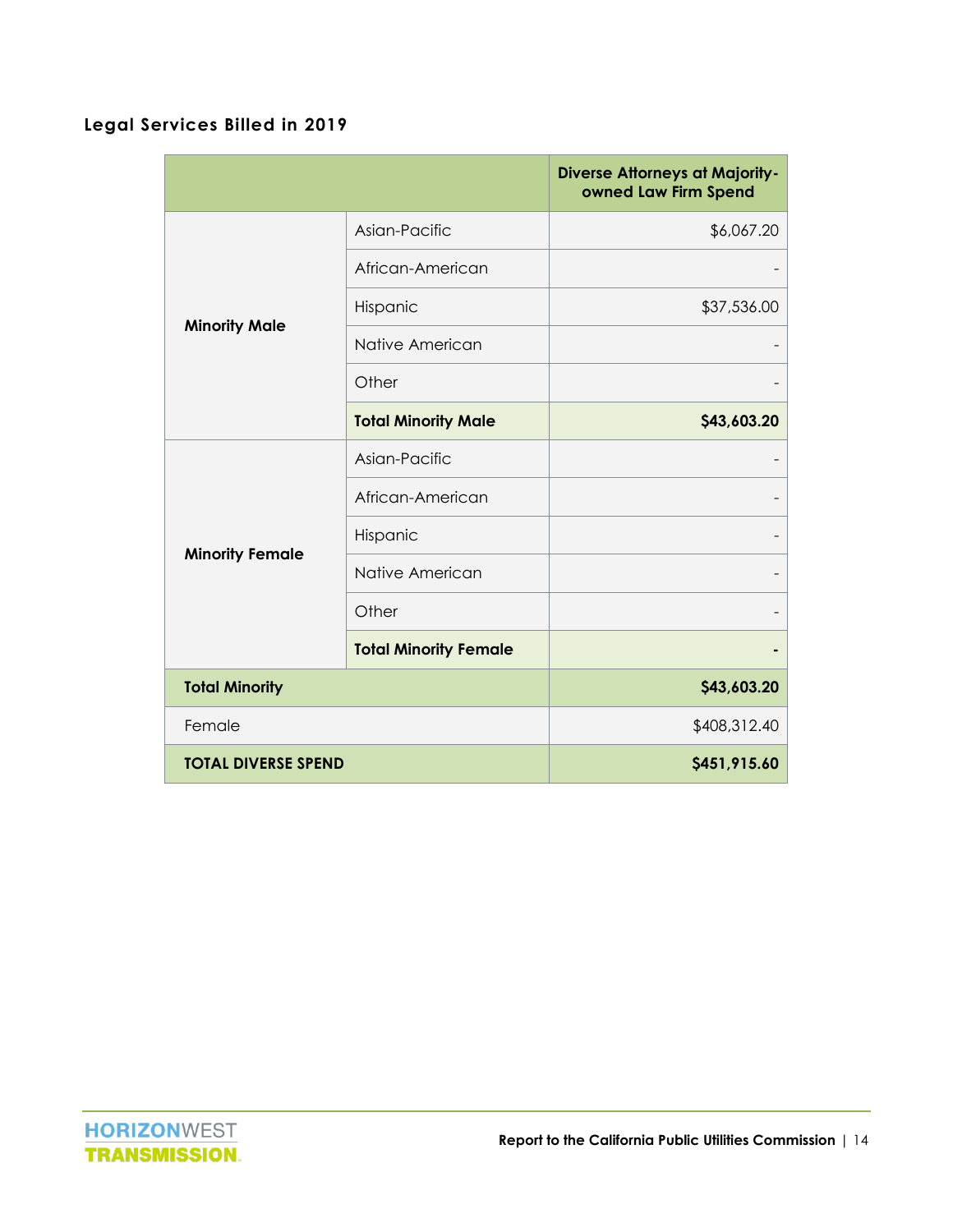#### <span id="page-14-0"></span>**Legal Services Billed in 2019**

|                            |                              | <b>Diverse Attorneys at Majority-</b><br>owned Law Firm Spend |
|----------------------------|------------------------------|---------------------------------------------------------------|
|                            | Asian-Pacific                | \$6,067.20                                                    |
|                            | African-American             |                                                               |
| <b>Minority Male</b>       | Hispanic                     | \$37,536.00                                                   |
|                            | Native American              |                                                               |
|                            | Other                        |                                                               |
|                            | <b>Total Minority Male</b>   | \$43,603.20                                                   |
|                            | Asian-Pacific                |                                                               |
|                            | African-American             |                                                               |
| <b>Minority Female</b>     | Hispanic                     |                                                               |
|                            | Native American              |                                                               |
|                            | Other                        |                                                               |
|                            | <b>Total Minority Female</b> |                                                               |
| <b>Total Minority</b>      |                              | \$43,603.20                                                   |
| Female                     |                              | \$408,312.40                                                  |
| <b>TOTAL DIVERSE SPEND</b> |                              | \$451,915.60                                                  |

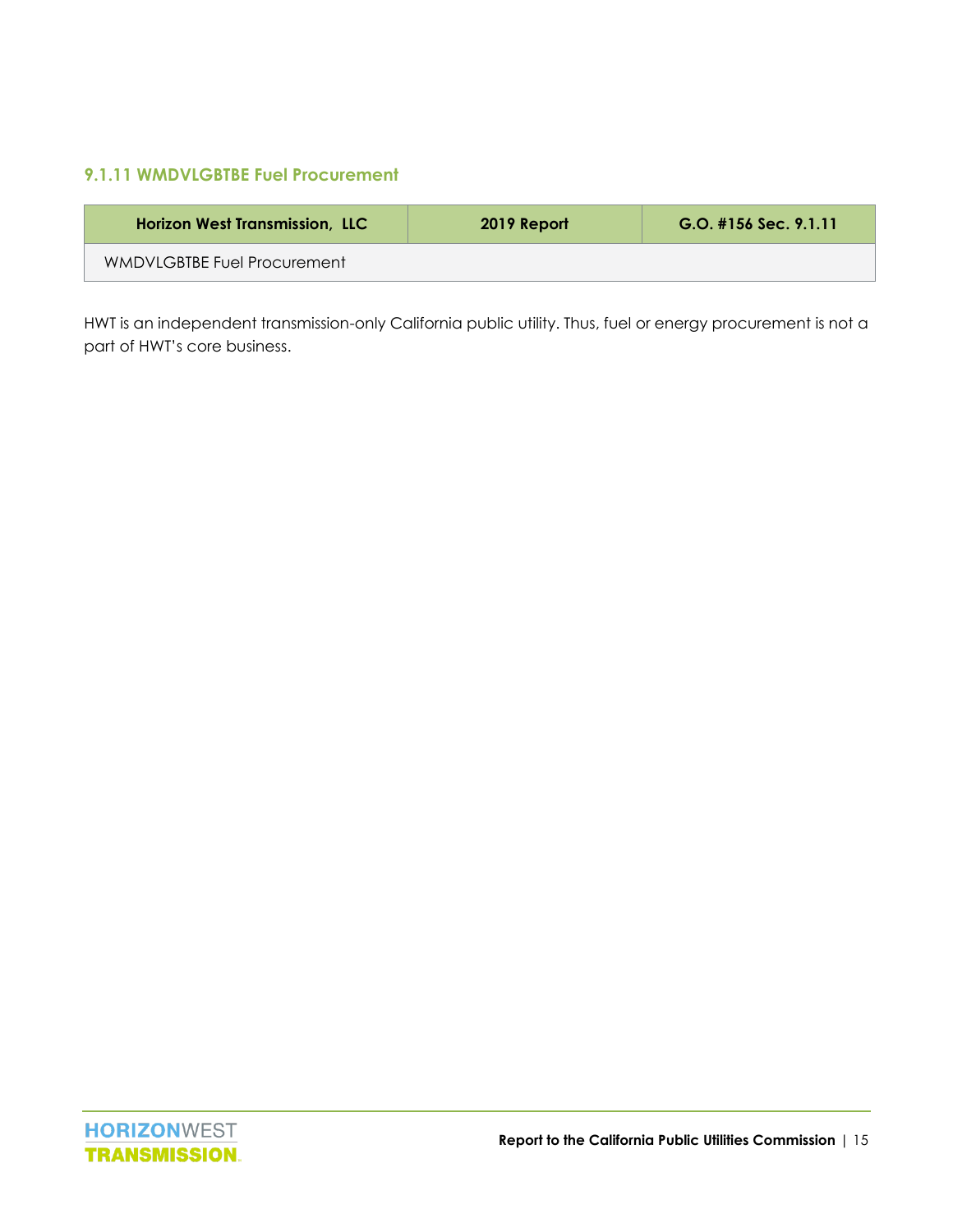#### <span id="page-15-0"></span>**9.1.11 WMDVLGBTBE Fuel Procurement**

| <b>Horizon West Transmission, LLC</b> | 2019 Report | $G.O.$ #156 Sec. 9.1.11 |
|---------------------------------------|-------------|-------------------------|
| WMDVLGBTBE Fuel Procurement           |             |                         |

HWT is an independent transmission-only California public utility. Thus, fuel or energy procurement is not a part of HWT's core business.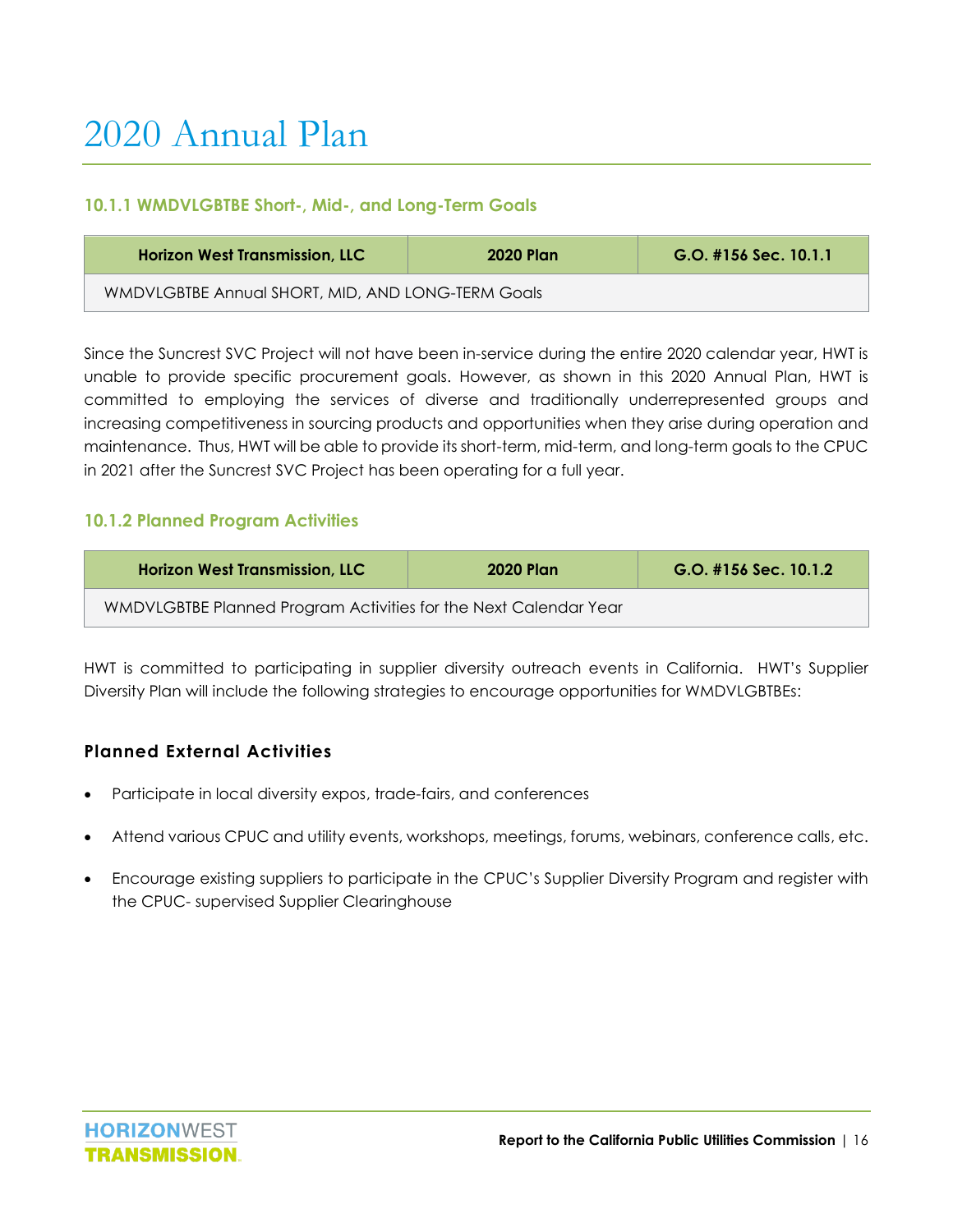#### <span id="page-16-1"></span><span id="page-16-0"></span>**10.1.1 WMDVLGBTBE Short-, Mid-, and Long-Term Goals**

| <b>Horizon West Transmission, LLC</b>             | <b>2020 Plan</b> | $G.O.$ #156 Sec. 10.1.1 |
|---------------------------------------------------|------------------|-------------------------|
| WMDVLGBTBE Annual SHORT, MID, AND LONG-TERM Goals |                  |                         |

Since the Suncrest SVC Project will not have been in-service during the entire 2020 calendar year, HWT is unable to provide specific procurement goals. However, as shown in this 2020 Annual Plan, HWT is committed to employing the services of diverse and traditionally underrepresented groups and increasing competitiveness in sourcing products and opportunities when they arise during operation and maintenance. Thus, HWT will be able to provide its short-term, mid-term, and long-term goals to the CPUC in 2021 after the Suncrest SVC Project has been operating for a full year.

#### <span id="page-16-2"></span>**10.1.2 Planned Program Activities**

| <b>Horizon West Transmission, LLC</b>                            | <b>2020 Plan</b> | G.O. #156 Sec. 10.1.2 |
|------------------------------------------------------------------|------------------|-----------------------|
| WMDVLGBTBE Planned Program Activities for the Next Calendar Year |                  |                       |

HWT is committed to participating in supplier diversity outreach events in California. HWT's Supplier Diversity Plan will include the following strategies to encourage opportunities for WMDVLGBTBEs:

#### <span id="page-16-3"></span>**Planned External Activities**

- Participate in local diversity expos, trade-fairs, and conferences
- Attend various CPUC and utility events, workshops, meetings, forums, webinars, conference calls, etc.
- Encourage existing suppliers to participate in the CPUC's Supplier Diversity Program and register with the CPUC- supervised Supplier Clearinghouse

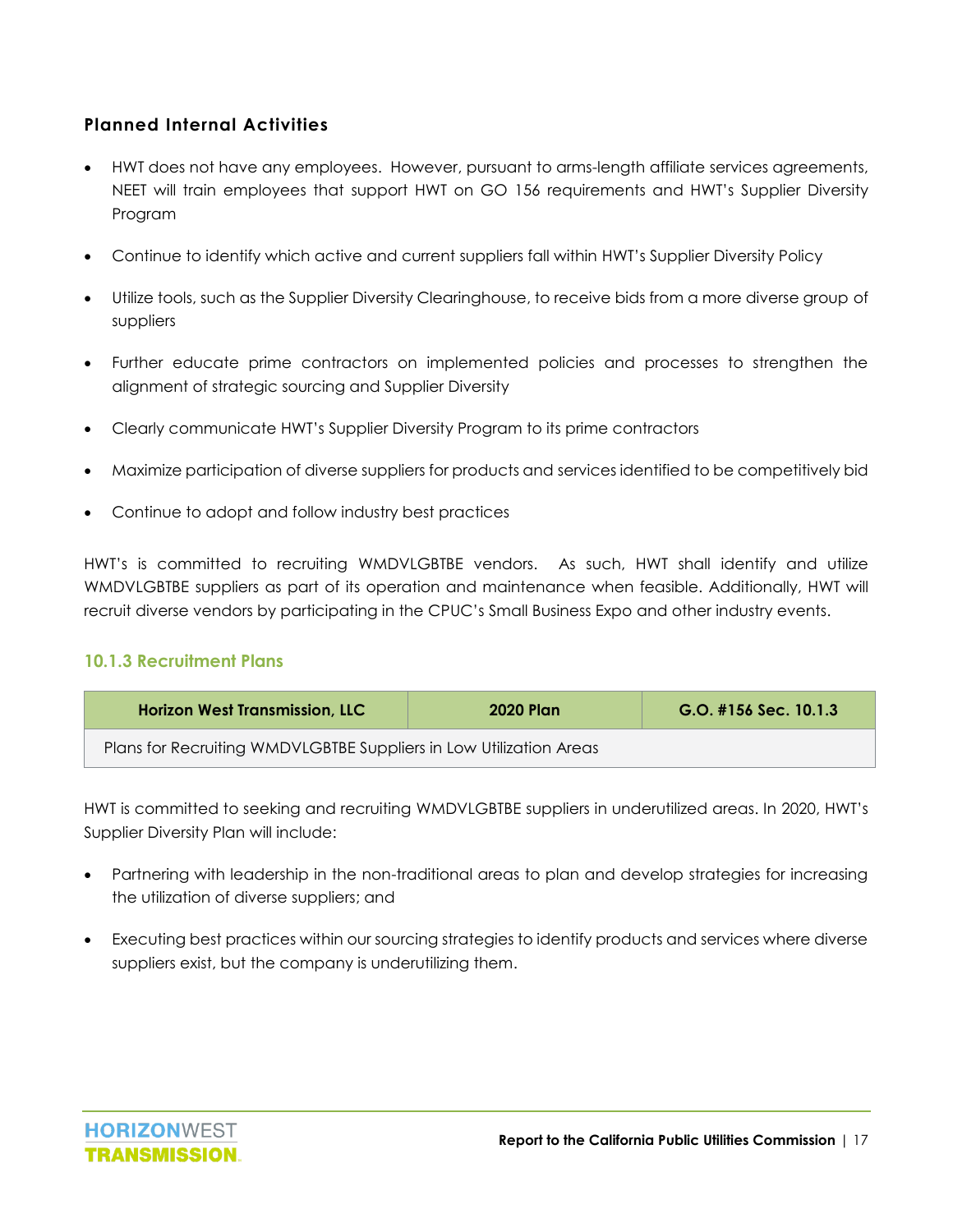#### <span id="page-17-0"></span>**Planned Internal Activities**

- HWT does not have any employees. However, pursuant to arms-length affiliate services agreements, NEET will train employees that support HWT on GO 156 requirements and HWT's Supplier Diversity Program
- Continue to identify which active and current suppliers fall within HWT's Supplier Diversity Policy
- Utilize tools, such as the Supplier Diversity Clearinghouse, to receive bids from a more diverse group of suppliers
- Further educate prime contractors on implemented policies and processes to strengthen the alignment of strategic sourcing and Supplier Diversity
- Clearly communicate HWT's Supplier Diversity Program to its prime contractors
- Maximize participation of diverse suppliers for products and services identified to be competitively bid
- Continue to adopt and follow industry best practices

HWT's is committed to recruiting WMDVLGBTBE vendors. As such, HWT shall identify and utilize WMDVLGBTBE suppliers as part of its operation and maintenance when feasible. Additionally, HWT will recruit diverse vendors by participating in the CPUC's Small Business Expo and other industry events.

#### <span id="page-17-1"></span>**10.1.3 Recruitment Plans**

| <b>Horizon West Transmission, LLC</b>                              | <b>2020 Plan</b> | $G.O.$ #156 Sec. 10.1.3 |
|--------------------------------------------------------------------|------------------|-------------------------|
| Plans for Recruiting WMDVLGBTBE Suppliers in Low Utilization Areas |                  |                         |

HWT is committed to seeking and recruiting WMDVLGBTBE suppliers in underutilized areas. In 2020, HWT's Supplier Diversity Plan will include:

- Partnering with leadership in the non-traditional areas to plan and develop strategies for increasing the utilization of diverse suppliers; and
- Executing best practices within our sourcing strategies to identify products and services where diverse suppliers exist, but the company is underutilizing them.